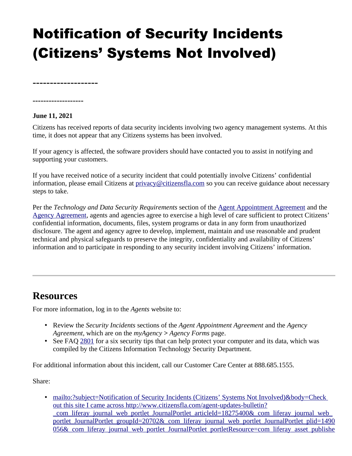## Notification of Security Incidents (Citizens' Systems Not Involved)

**-------------------**

## **-------------------**

## **June 11, 2021**

Citizens has received reports of data security incidents involving two agency management systems. At this time, it does not appear that any Citizens systems has been involved.

If your agency is affected, the software providers should have contacted you to assist in notifying and supporting your customers.

If you have received notice of a security incident that could potentially involve Citizens' confidential information, please email Citizens at  $\frac{\text{privacy}}{\text{C}(\text{circ} \cdot \text{c})}$  and so you can receive guidance about necessary steps to take.

Per the *Technology and Data Security Requirements* section of the [Agent Appointment Agreement](https://www.citizensfla.com/documents/20802/10156315/Agent_agreement_exhibit.pdf/18803c1a-b5ac-4e95-9e5c-543ed12866f3?t=1560356298500) and the [Agency Agreement](https://www.citizensfla.com/documents/20802/10156315/Agency_agreement_exhibit.pdf/2405c661-5519-460f-a543-a33e2bb5c15d?t=1560356299397), agents and agencies agree to exercise a high level of care sufficient to protect Citizens' confidential information, documents, files, system programs or data in any form from unauthorized disclosure. The agent and agency agree to develop, implement, maintain and use reasonable and prudent technical and physical safeguards to preserve the integrity, confidentiality and availability of Citizens' information and to participate in responding to any security incident involving Citizens' information.

## **Resources**

For more information, log in to the *Agents* website to:

- Review the *Security Incidents* sections of the *Agent Appointment Agreement* and the *Agency Agreement*, which are on the *myAgency > Agency Forms* page.
- See FAQ [2801](https://www.citizensfla.com/kb-search?articleId=2801) for a six security tips that can help protect your computer and its data, which was compiled by the Citizens Information Technology Security Department.

For additional information about this incident, call our Customer Care Center at 888.685.1555.

Share:

• mailto:?subject=Notification of Security Incidents (Citizens' Systems Not Involved)&body=Check out this site I came across http://www.citizensfla.com/agent-updates-bulletin? \_com\_liferay\_journal\_web\_portlet\_JournalPortlet\_articleId=18275400&\_com\_liferay\_journal\_web\_ portlet JournalPortlet groupId=20702& com\_liferay\_journal\_web\_portlet\_JournalPortlet\_plid=1490 056& com\_liferay\_journal\_web\_portlet\_JournalPortlet\_portletResource=com\_liferay\_asset\_publishe